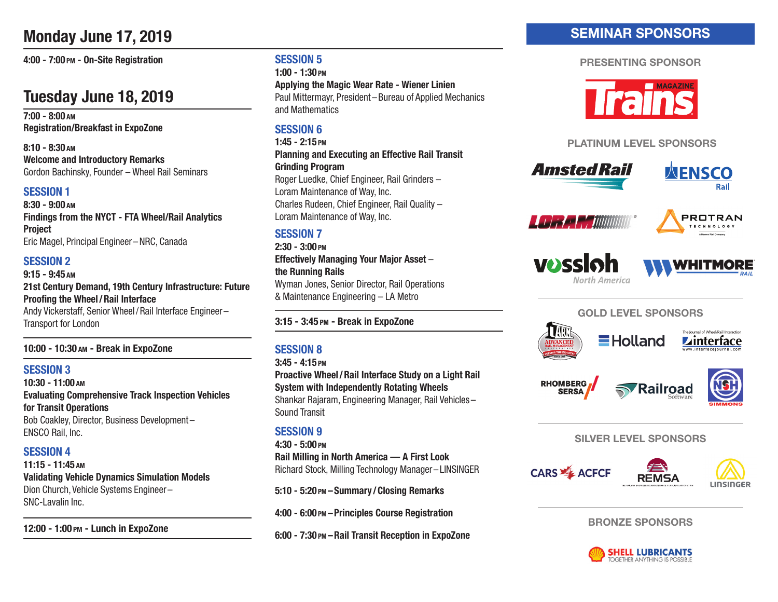# **Monday June 17, 2019**

**4:00 - 7:00 PM - On-Site Registration**

# **Tuesday June 18, 2019**

**7:00 - 8:00 AM Registration/Breakfast in ExpoZone**

**8:10 - 8:30 AM Welcome and Introductory Remarks** Gordon Bachinsky, Founder – Wheel Rail Seminars

#### **SESSION 1**

**8:30 - 9:00 AM Findings from the NYCT - FTA Wheel/Rail Analytics Project** Eric Magel, Principal Engineer – NRC, Canada

### **SESSION 2**

**9:15 - 9:45 AM 21st Century Demand, 19th Century Infrastructure: Future Proofing the Wheel/Rail Interface** Andy Vickerstaff, Senior Wheel / Rail Interface Engineer –

Transport for London

#### **10:00 - 10:30 AM - Break in ExpoZone**

#### **SESSION 3**

**10:30 - 11:00 AM Evaluating Comprehensive Track Inspection Vehicles for Transit Operations** Bob Coakley, Director, Business Development – ENSCO Rail, Inc.

### **SESSION 4**

**11:15 - 11:45 AM Validating Vehicle Dynamics Simulation Models** Dion Church, Vehicle Systems Engineer – SNC-Lavalin Inc.

**12:00 - 1:00 PM - Lunch in ExpoZone**

### **SESSION 5**

**1:00 - 1:30 PM**

**Applying the Magic Wear Rate - Wiener Linien**  Paul Mittermayr, President – Bureau of Applied Mechanics and Mathematics

## **SESSION 6**

**1:45 - 2:15 PM Planning and Executing an Effective Rail Transit Grinding Program** Roger Luedke, Chief Engineer, Rail Grinders – Loram Maintenance of Way, Inc.

Charles Rudeen, Chief Engineer, Rail Quality – Loram Maintenance of Way, Inc.

## **SESSION 7**

**2:30 - 3:00 PM Effectively Managing Your Major Asset** – **the Running Rails**  Wyman Jones, Senior Director, Rail Operations & Maintenance Engineering – LA Metro

**3:15 - 3:45 PM - Break in ExpoZone**

### **SESSION 8**

**3:45 - 4:15 PM**

**Proactive Wheel / Rail Interface Study on a Light Rail System with Independently Rotating Wheels** Shankar Rajaram, Engineering Manager, Rail Vehicles – Sound Transit

### **SESSION 9**

**4:30 - 5:00 PM**

**Rail Milling in North America — A First Look**  Richard Stock, Milling Technology Manager – LINSINGER

**5:10 - 5:20 PM – Summary / Closing Remarks**

**4:00 - 6:00 PM – Principles Course Registration**

**6:00 - 7:30 PM – Rail Transit Reception in ExpoZone**

## SEMINAR SPONSORS

#### PRESENTING SPONSOR



#### PLATINUM LEVEL SPONSORS



**RFMSA** 



BRONZE SPONSORS